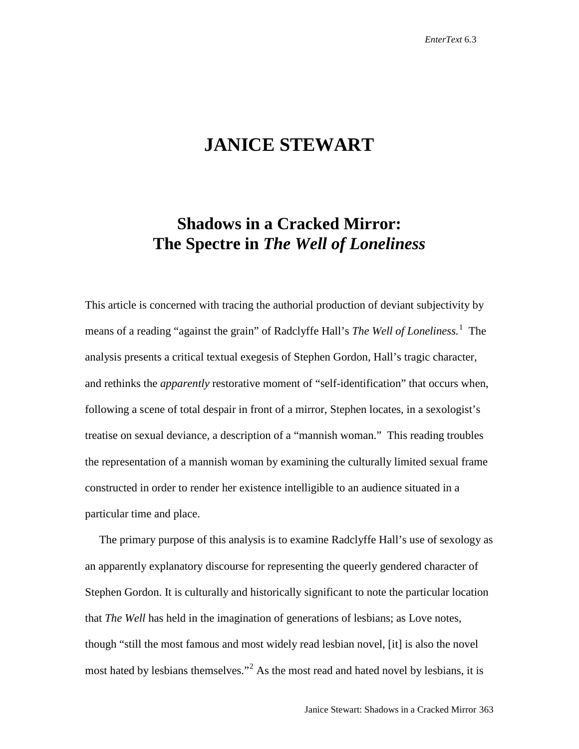## **JANICE STEWART**

## **Shadows in a Cracked Mirror: The Spectre in** *The Well of Loneliness*

This article is concerned with tracing the authorial production of deviant subjectivity by means of a reading "against the grain" of Radclyffe Hall's *The Well of Loneliness.* [1](#page-16-0) The analysis presents a critical textual exegesis of Stephen Gordon, Hall's tragic character, and rethinks the *apparently* restorative moment of "self-identification" that occurs when, following a scene of total despair in front of a mirror, Stephen locates, in a sexologist's treatise on sexual deviance, a description of a "mannish woman." This reading troubles the representation of a mannish woman by examining the culturally limited sexual frame constructed in order to render her existence intelligible to an audience situated in a particular time and place.

 The primary purpose of this analysis is to examine Radclyffe Hall's use of sexology as an apparently explanatory discourse for representing the queerly gendered character of Stephen Gordon. It is culturally and historically significant to note the particular location that *The Well* has held in the imagination of generations of lesbians; as Love notes, though "still the most famous and most widely read lesbian novel, [it] is also the novel most hated by lesbians themselves."<sup>[2](#page-16-1)</sup> As the most read and hated novel by lesbians, it is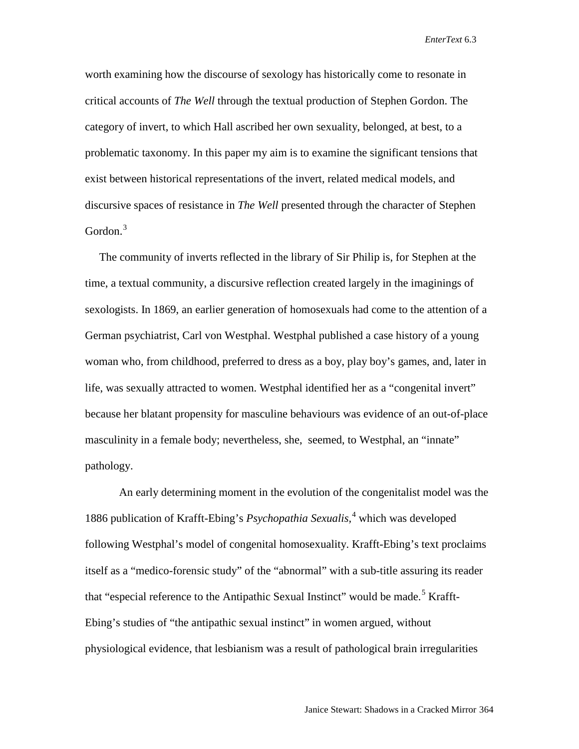worth examining how the discourse of sexology has historically come to resonate in critical accounts of *The Well* through the textual production of Stephen Gordon. The category of invert, to which Hall ascribed her own sexuality, belonged, at best, to a problematic taxonomy. In this paper my aim is to examine the significant tensions that exist between historical representations of the invert, related medical models, and discursive spaces of resistance in *The Well* presented through the character of Stephen Gordon.<sup>[3](#page-17-0)</sup>

 The community of inverts reflected in the library of Sir Philip is, for Stephen at the time, a textual community, a discursive reflection created largely in the imaginings of sexologists. In 1869, an earlier generation of homosexuals had come to the attention of a German psychiatrist, Carl von Westphal. Westphal published a case history of a young woman who, from childhood, preferred to dress as a boy, play boy's games, and, later in life, was sexually attracted to women. Westphal identified her as a "congenital invert" because her blatant propensity for masculine behaviours was evidence of an out-of-place masculinity in a female body; nevertheless, she, seemed, to Westphal, an "innate" pathology.

An early determining moment in the evolution of the congenitalist model was the 1886 publication of Krafft-Ebing's *Psychopathia Sexualis,* [4](#page-17-1) which was developed following Westphal's model of congenital homosexuality. Krafft-Ebing's text proclaims itself as a "medico-forensic study" of the "abnormal" with a sub-title assuring its reader that "especial reference to the Antipathic Sexual Instinct" would be made.<sup>[5](#page-17-2)</sup> Krafft-Ebing's studies of "the antipathic sexual instinct" in women argued, without physiological evidence, that lesbianism was a result of pathological brain irregularities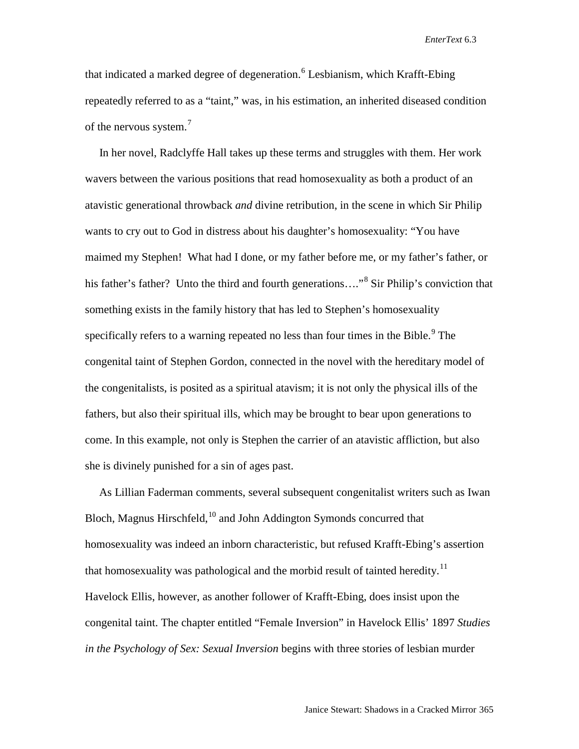that indicated a marked degree of degeneration.<sup>[6](#page-17-3)</sup> Lesbianism, which Krafft-Ebing repeatedly referred to as a "taint," was, in his estimation, an inherited diseased condition of the nervous system.<sup>[7](#page-17-4)</sup>

 In her novel, Radclyffe Hall takes up these terms and struggles with them. Her work wavers between the various positions that read homosexuality as both a product of an atavistic generational throwback *and* divine retribution, in the scene in which Sir Philip wants to cry out to God in distress about his daughter's homosexuality: "You have maimed my Stephen! What had I done, or my father before me, or my father's father, or his father's father? Unto the third and fourth generations...."<sup>[8](#page-17-5)</sup> Sir Philip's conviction that something exists in the family history that has led to Stephen's homosexuality specifically refers to a warning repeated no less than four times in the Bible.<sup>[9](#page-17-6)</sup> The congenital taint of Stephen Gordon, connected in the novel with the hereditary model of the congenitalists, is posited as a spiritual atavism; it is not only the physical ills of the fathers, but also their spiritual ills, which may be brought to bear upon generations to come. In this example, not only is Stephen the carrier of an atavistic affliction, but also she is divinely punished for a sin of ages past.

 As Lillian Faderman comments, several subsequent congenitalist writers such as Iwan Bloch, Magnus Hirschfeld, <sup>[10](#page-17-7)</sup> and John Addington Symonds concurred that homosexuality was indeed an inborn characteristic, but refused Krafft-Ebing's assertion that homosexuality was pathological and the morbid result of tainted heredity.<sup>[11](#page-17-8)</sup> Havelock Ellis, however, as another follower of Krafft-Ebing, does insist upon the congenital taint. The chapter entitled "Female Inversion" in Havelock Ellis' 1897 *Studies in the Psychology of Sex: Sexual Inversion* begins with three stories of lesbian murder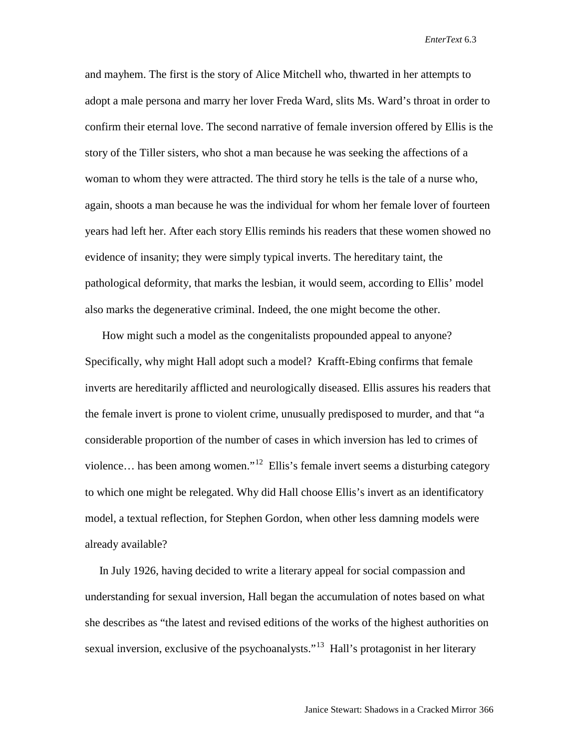and mayhem. The first is the story of Alice Mitchell who, thwarted in her attempts to adopt a male persona and marry her lover Freda Ward, slits Ms. Ward's throat in order to confirm their eternal love. The second narrative of female inversion offered by Ellis is the story of the Tiller sisters, who shot a man because he was seeking the affections of a woman to whom they were attracted. The third story he tells is the tale of a nurse who, again, shoots a man because he was the individual for whom her female lover of fourteen years had left her. After each story Ellis reminds his readers that these women showed no evidence of insanity; they were simply typical inverts. The hereditary taint, the pathological deformity, that marks the lesbian, it would seem, according to Ellis' model also marks the degenerative criminal. Indeed, the one might become the other.

 How might such a model as the congenitalists propounded appeal to anyone? Specifically, why might Hall adopt such a model? Krafft-Ebing confirms that female inverts are hereditarily afflicted and neurologically diseased. Ellis assures his readers that the female invert is prone to violent crime, unusually predisposed to murder, and that "a considerable proportion of the number of cases in which inversion has led to crimes of violence... has been among women."<sup>[12](#page-17-9)</sup> Ellis's female invert seems a disturbing category to which one might be relegated. Why did Hall choose Ellis's invert as an identificatory model, a textual reflection, for Stephen Gordon, when other less damning models were already available?

 In July 1926, having decided to write a literary appeal for social compassion and understanding for sexual inversion, Hall began the accumulation of notes based on what she describes as "the latest and revised editions of the works of the highest authorities on sexual inversion, exclusive of the psychoanalysts."<sup>13</sup> Hall's protagonist in her literary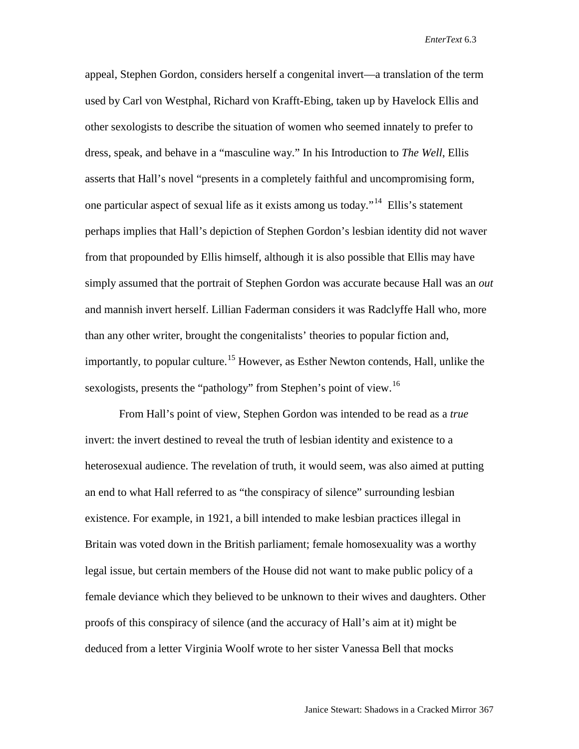appeal, Stephen Gordon, considers herself a congenital invert—a translation of the term used by Carl von Westphal, Richard von Krafft-Ebing, taken up by Havelock Ellis and other sexologists to describe the situation of women who seemed innately to prefer to dress, speak, and behave in a "masculine way." In his Introduction to *The Well*, Ellis asserts that Hall's novel "presents in a completely faithful and uncompromising form, one particular aspect of sexual life as it exists among us today."[14](#page-17-11) Ellis's statement perhaps implies that Hall's depiction of Stephen Gordon's lesbian identity did not waver from that propounded by Ellis himself, although it is also possible that Ellis may have simply assumed that the portrait of Stephen Gordon was accurate because Hall was an *out* and mannish invert herself. Lillian Faderman considers it was Radclyffe Hall who, more than any other writer, brought the congenitalists' theories to popular fiction and, importantly, to popular culture.<sup>[15](#page-17-12)</sup> However, as Esther Newton contends, Hall, unlike the sexologists, presents the "pathology" from Stephen's point of view.<sup>[16](#page-17-13)</sup>

From Hall's point of view, Stephen Gordon was intended to be read as a *true* invert: the invert destined to reveal the truth of lesbian identity and existence to a heterosexual audience. The revelation of truth, it would seem, was also aimed at putting an end to what Hall referred to as "the conspiracy of silence" surrounding lesbian existence. For example, in 1921, a bill intended to make lesbian practices illegal in Britain was voted down in the British parliament; female homosexuality was a worthy legal issue, but certain members of the House did not want to make public policy of a female deviance which they believed to be unknown to their wives and daughters. Other proofs of this conspiracy of silence (and the accuracy of Hall's aim at it) might be deduced from a letter Virginia Woolf wrote to her sister Vanessa Bell that mocks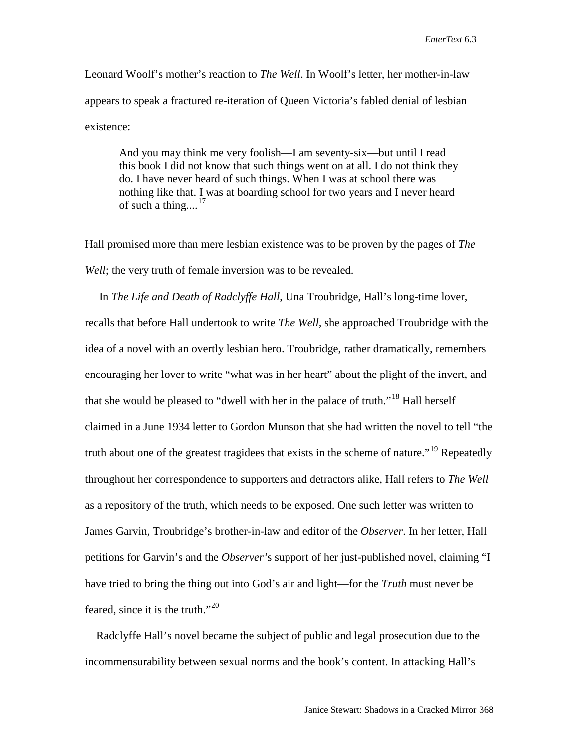Leonard Woolf's mother's reaction to *The Well*. In Woolf's letter, her mother-in-law appears to speak a fractured re-iteration of Queen Victoria's fabled denial of lesbian existence:

And you may think me very foolish—I am seventy-six—but until I read this book I did not know that such things went on at all. I do not think they do. I have never heard of such things. When I was at school there was nothing like that. I was at boarding school for two years and I never heard of such a thing....<sup>[17](#page-17-14)</sup>

Hall promised more than mere lesbian existence was to be proven by the pages of *The Well*; the very truth of female inversion was to be revealed.

 In *The Life and Death of Radclyffe Hall*, Una Troubridge, Hall's long-time lover, recalls that before Hall undertook to write *The Well,* she approached Troubridge with the idea of a novel with an overtly lesbian hero. Troubridge, rather dramatically, remembers encouraging her lover to write "what was in her heart" about the plight of the invert, and that she would be pleased to "dwell with her in the palace of truth."<sup>[18](#page-17-15)</sup> Hall herself claimed in a June 1934 letter to Gordon Munson that she had written the novel to tell "the truth about one of the greatest tragidees that exists in the scheme of nature."<sup>[19](#page-17-16)</sup> Repeatedly throughout her correspondence to supporters and detractors alike, Hall refers to *The Well* as a repository of the truth, which needs to be exposed. One such letter was written to James Garvin, Troubridge's brother-in-law and editor of the *Observer*. In her letter, Hall petitions for Garvin's and the *Observer'*s support of her just-published novel, claiming "I have tried to bring the thing out into God's air and light—for the *Truth* must never be feared, since it is the truth."<sup>[20](#page-17-17)</sup>

 Radclyffe Hall's novel became the subject of public and legal prosecution due to the incommensurability between sexual norms and the book's content. In attacking Hall's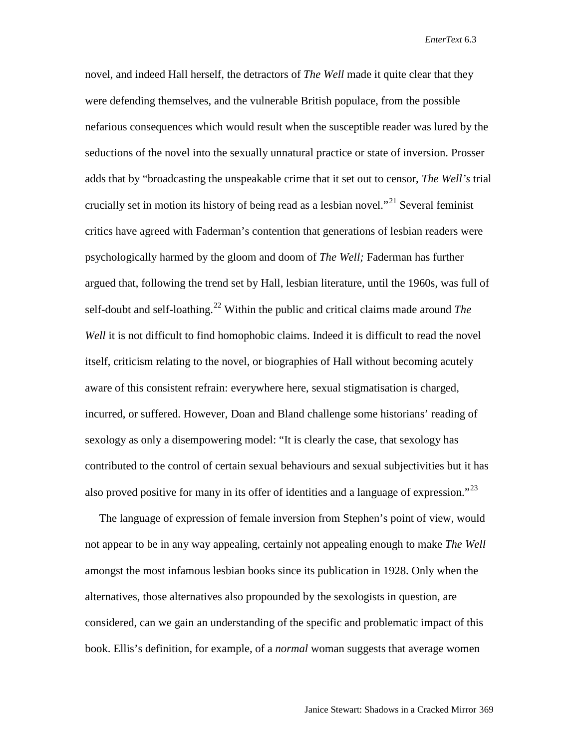novel, and indeed Hall herself, the detractors of *The Well* made it quite clear that they were defending themselves, and the vulnerable British populace, from the possible nefarious consequences which would result when the susceptible reader was lured by the seductions of the novel into the sexually unnatural practice or state of inversion. Prosser adds that by "broadcasting the unspeakable crime that it set out to censor, *The Well's* trial crucially set in motion its history of being read as a lesbian novel."<sup>[21](#page-17-2)</sup> Several feminist critics have agreed with Faderman's contention that generations of lesbian readers were psychologically harmed by the gloom and doom of *The Well;* Faderman has further argued that, following the trend set by Hall, lesbian literature, until the 1960s, was full of self-doubt and self-loathing. [22](#page-17-18) Within the public and critical claims made around *The Well* it is not difficult to find homophobic claims. Indeed it is difficult to read the novel itself, criticism relating to the novel, or biographies of Hall without becoming acutely aware of this consistent refrain: everywhere here, sexual stigmatisation is charged, incurred, or suffered. However, Doan and Bland challenge some historians' reading of sexology as only a disempowering model: "It is clearly the case, that sexology has contributed to the control of certain sexual behaviours and sexual subjectivities but it has also proved positive for many in its offer of identities and a language of expression."<sup>[23](#page-17-19)</sup>

 The language of expression of female inversion from Stephen's point of view, would not appear to be in any way appealing, certainly not appealing enough to make *The Well*  amongst the most infamous lesbian books since its publication in 1928. Only when the alternatives, those alternatives also propounded by the sexologists in question, are considered, can we gain an understanding of the specific and problematic impact of this book. Ellis's definition, for example, of a *normal* woman suggests that average women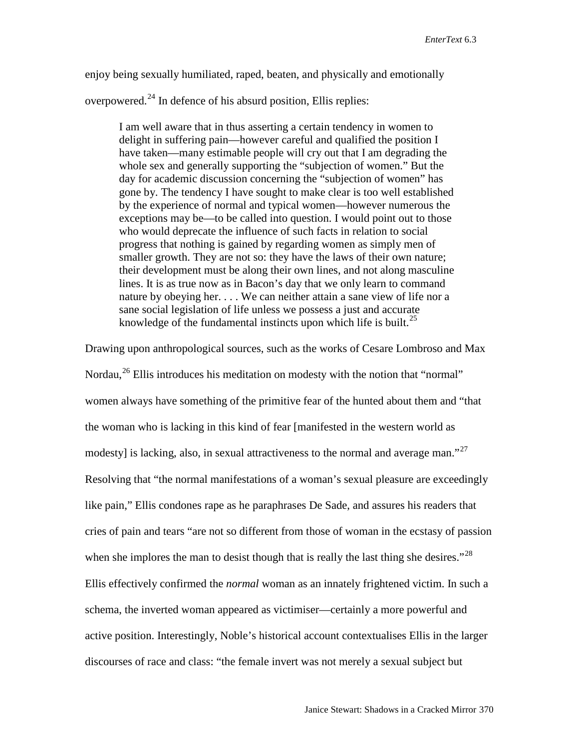enjoy being sexually humiliated, raped, beaten, and physically and emotionally

overpowered.[24](#page-17-20) In defence of his absurd position, Ellis replies:

I am well aware that in thus asserting a certain tendency in women to delight in suffering pain—however careful and qualified the position I have taken—many estimable people will cry out that I am degrading the whole sex and generally supporting the "subjection of women." But the day for academic discussion concerning the "subjection of women" has gone by. The tendency I have sought to make clear is too well established by the experience of normal and typical women—however numerous the exceptions may be—to be called into question. I would point out to those who would deprecate the influence of such facts in relation to social progress that nothing is gained by regarding women as simply men of smaller growth. They are not so: they have the laws of their own nature; their development must be along their own lines, and not along masculine lines. It is as true now as in Bacon's day that we only learn to command nature by obeying her. . . . We can neither attain a sane view of life nor a sane social legislation of life unless we possess a just and accurate knowledge of the fundamental instincts upon which life is built. $^{25}$  $^{25}$  $^{25}$ 

Drawing upon anthropological sources, such as the works of Cesare Lombroso and Max Nordau,<sup>[26](#page-17-22)</sup> Ellis introduces his meditation on modesty with the notion that "normal" women always have something of the primitive fear of the hunted about them and "that the woman who is lacking in this kind of fear [manifested in the western world as modesty] is lacking, also, in sexual attractiveness to the normal and average man."<sup>27</sup> Resolving that "the normal manifestations of a woman's sexual pleasure are exceedingly like pain," Ellis condones rape as he paraphrases De Sade, and assures his readers that cries of pain and tears "are not so different from those of woman in the ecstasy of passion when she implores the man to desist though that is really the last thing she desires."<sup>[28](#page-17-24)</sup> Ellis effectively confirmed the *normal* woman as an innately frightened victim. In such a schema, the inverted woman appeared as victimiser—certainly a more powerful and active position. Interestingly, Noble's historical account contextualises Ellis in the larger discourses of race and class: "the female invert was not merely a sexual subject but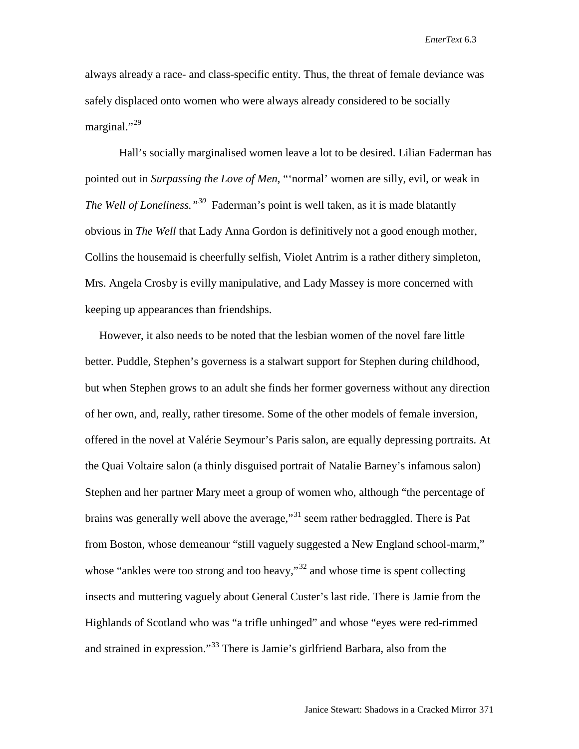always already a race- and class-specific entity. Thus, the threat of female deviance was safely displaced onto women who were always already considered to be socially marginal." $^{29}$  $^{29}$  $^{29}$ 

Hall's socially marginalised women leave a lot to be desired. Lilian Faderman has pointed out in *Surpassing the Love of Men*, "'normal' women are silly, evil, or weak in *The Well of Loneliness."[30](#page-17-26)* Faderman's point is well taken, as it is made blatantly obvious in *The Well* that Lady Anna Gordon is definitively not a good enough mother, Collins the housemaid is cheerfully selfish, Violet Antrim is a rather dithery simpleton, Mrs. Angela Crosby is evilly manipulative, and Lady Massey is more concerned with keeping up appearances than friendships.

 However, it also needs to be noted that the lesbian women of the novel fare little better. Puddle, Stephen's governess is a stalwart support for Stephen during childhood, but when Stephen grows to an adult she finds her former governess without any direction of her own, and, really, rather tiresome. Some of the other models of female inversion, offered in the novel at Valérie Seymour's Paris salon, are equally depressing portraits. At the Quai Voltaire salon (a thinly disguised portrait of Natalie Barney's infamous salon) Stephen and her partner Mary meet a group of women who, although "the percentage of brains was generally well above the average,"<sup>[31](#page-17-27)</sup> seem rather bedraggled. There is Pat from Boston, whose demeanour "still vaguely suggested a New England school-marm," whose "ankles were too strong and too heavy,"<sup>[32](#page-17-28)</sup> and whose time is spent collecting insects and muttering vaguely about General Custer's last ride. There is Jamie from the Highlands of Scotland who was "a trifle unhinged" and whose "eyes were red-rimmed and strained in expression."[33](#page-17-29) There is Jamie's girlfriend Barbara, also from the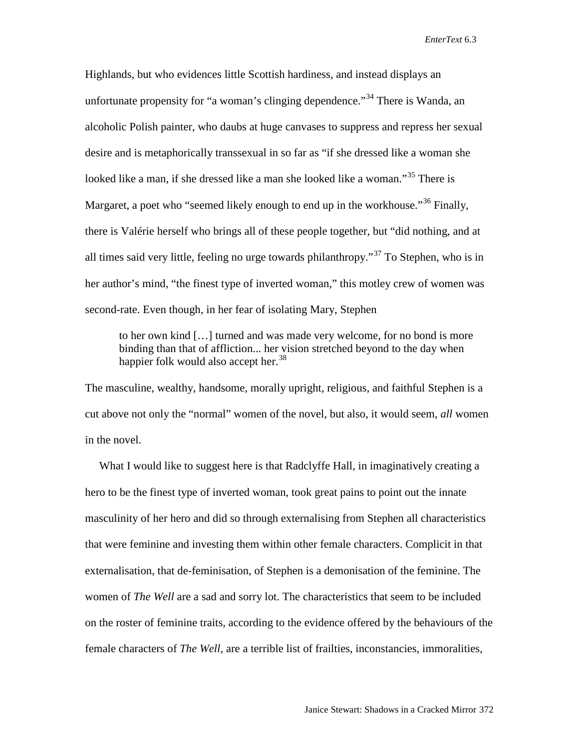Highlands, but who evidences little Scottish hardiness, and instead displays an unfortunate propensity for "a woman's clinging dependence."<sup>[34](#page-17-30)</sup> There is Wanda, an alcoholic Polish painter, who daubs at huge canvases to suppress and repress her sexual desire and is metaphorically transsexual in so far as "if she dressed like a woman she looked like a man, if she dressed like a man she looked like a woman."<sup>[35](#page-17-31)</sup> There is Margaret, a poet who "seemed likely enough to end up in the workhouse."<sup>[36](#page-17-32)</sup> Finally, there is Valérie herself who brings all of these people together, but "did nothing, and at all times said very little, feeling no urge towards philanthropy.<sup> $37$ </sup> To Stephen, who is in her author's mind, "the finest type of inverted woman," this motley crew of women was second-rate. Even though, in her fear of isolating Mary, Stephen

to her own kind […] turned and was made very welcome, for no bond is more binding than that of affliction... her vision stretched beyond to the day when happier folk would also accept her.<sup>[38](#page-17-34)</sup>

The masculine, wealthy, handsome, morally upright, religious, and faithful Stephen is a cut above not only the "normal" women of the novel, but also, it would seem, *all* women in the novel.

 What I would like to suggest here is that Radclyffe Hall, in imaginatively creating a hero to be the finest type of inverted woman, took great pains to point out the innate masculinity of her hero and did so through externalising from Stephen all characteristics that were feminine and investing them within other female characters. Complicit in that externalisation, that de-feminisation, of Stephen is a demonisation of the feminine. The women of *The Well* are a sad and sorry lot. The characteristics that seem to be included on the roster of feminine traits, according to the evidence offered by the behaviours of the female characters of *The Well,* are a terrible list of frailties, inconstancies, immoralities,

Janice Stewart: Shadows in a Cracked Mirror 372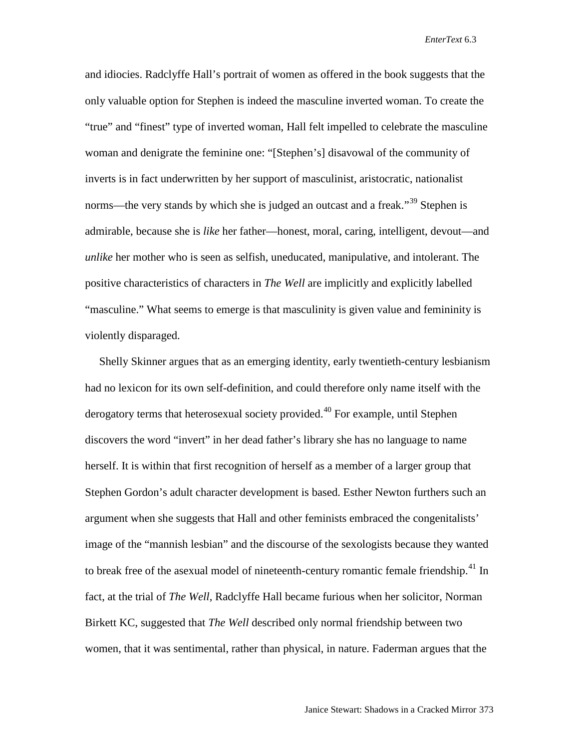and idiocies. Radclyffe Hall's portrait of women as offered in the book suggests that the only valuable option for Stephen is indeed the masculine inverted woman. To create the "true" and "finest" type of inverted woman, Hall felt impelled to celebrate the masculine woman and denigrate the feminine one: "[Stephen's] disavowal of the community of inverts is in fact underwritten by her support of masculinist, aristocratic, nationalist norms—the very stands by which she is judged an outcast and a freak."<sup>[39](#page-17-35)</sup> Stephen is admirable, because she is *like* her father—honest, moral, caring, intelligent, devout—and *unlike* her mother who is seen as selfish, uneducated, manipulative, and intolerant. The positive characteristics of characters in *The Well* are implicitly and explicitly labelled "masculine." What seems to emerge is that masculinity is given value and femininity is violently disparaged.

 Shelly Skinner argues that as an emerging identity, early twentieth-century lesbianism had no lexicon for its own self-definition, and could therefore only name itself with the derogatory terms that heterosexual society provided.<sup>[40](#page-17-36)</sup> For example, until Stephen discovers the word "invert" in her dead father's library she has no language to name herself. It is within that first recognition of herself as a member of a larger group that Stephen Gordon's adult character development is based. Esther Newton furthers such an argument when she suggests that Hall and other feminists embraced the congenitalists' image of the "mannish lesbian" and the discourse of the sexologists because they wanted to break free of the asexual model of nineteenth-century romantic female friendship.<sup>[41](#page-17-37)</sup> In fact, at the trial of *The Well*, Radclyffe Hall became furious when her solicitor, Norman Birkett KC, suggested that *The Well* described only normal friendship between two women, that it was sentimental, rather than physical, in nature. Faderman argues that the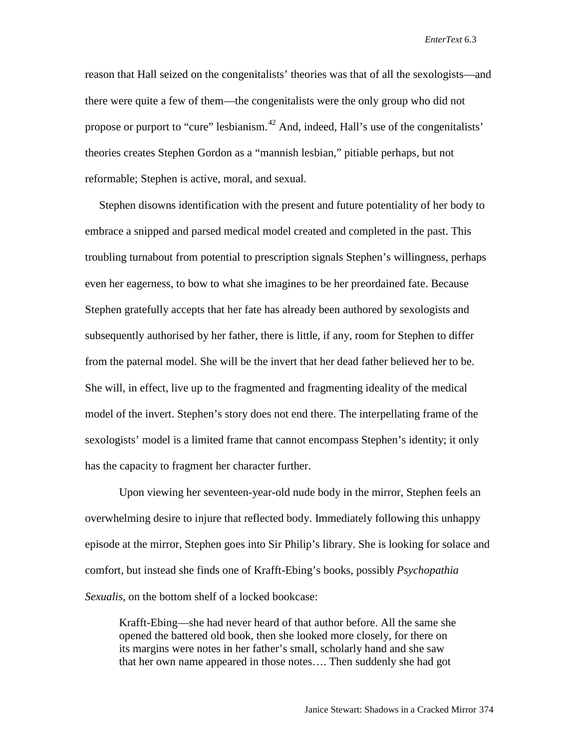reason that Hall seized on the congenitalists' theories was that of all the sexologists—and there were quite a few of them—the congenitalists were the only group who did not propose or purport to "cure" lesbianism.<sup>[42](#page-17-38)</sup> And, indeed, Hall's use of the congenitalists' theories creates Stephen Gordon as a "mannish lesbian," pitiable perhaps, but not reformable; Stephen is active, moral, and sexual.

 Stephen disowns identification with the present and future potentiality of her body to embrace a snipped and parsed medical model created and completed in the past. This troubling turnabout from potential to prescription signals Stephen's willingness, perhaps even her eagerness, to bow to what she imagines to be her preordained fate. Because Stephen gratefully accepts that her fate has already been authored by sexologists and subsequently authorised by her father, there is little, if any, room for Stephen to differ from the paternal model. She will be the invert that her dead father believed her to be. She will, in effect, live up to the fragmented and fragmenting ideality of the medical model of the invert. Stephen's story does not end there. The interpellating frame of the sexologists' model is a limited frame that cannot encompass Stephen's identity; it only has the capacity to fragment her character further.

Upon viewing her seventeen-year-old nude body in the mirror, Stephen feels an overwhelming desire to injure that reflected body. Immediately following this unhappy episode at the mirror, Stephen goes into Sir Philip's library. She is looking for solace and comfort, but instead she finds one of Krafft-Ebing's books, possibly *Psychopathia Sexualis*, on the bottom shelf of a locked bookcase:

Krafft-Ebing—she had never heard of that author before. All the same she opened the battered old book, then she looked more closely, for there on its margins were notes in her father's small, scholarly hand and she saw that her own name appeared in those notes…. Then suddenly she had got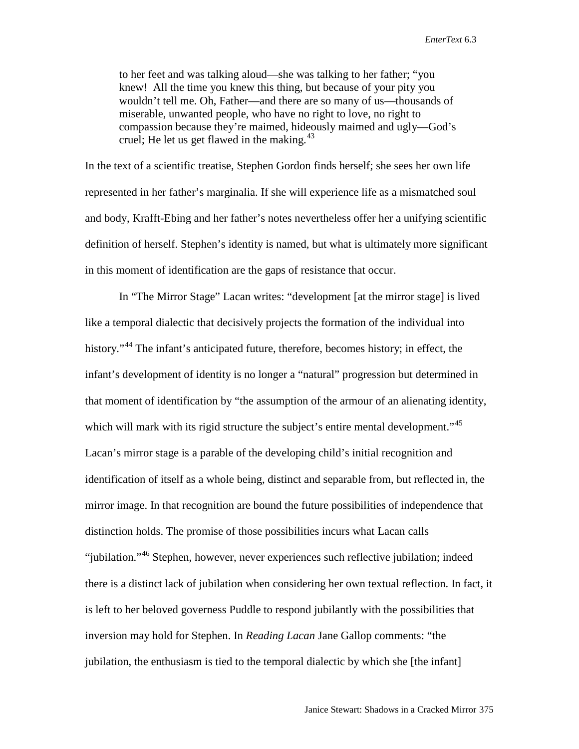to her feet and was talking aloud—she was talking to her father; "you knew! All the time you knew this thing, but because of your pity you wouldn't tell me. Oh, Father—and there are so many of us—thousands of miserable, unwanted people, who have no right to love, no right to compassion because they're maimed, hideously maimed and ugly—God's cruel; He let us get flawed in the making. $43$ 

In the text of a scientific treatise, Stephen Gordon finds herself; she sees her own life represented in her father's marginalia. If she will experience life as a mismatched soul and body, Krafft-Ebing and her father's notes nevertheless offer her a unifying scientific definition of herself. Stephen's identity is named, but what is ultimately more significant in this moment of identification are the gaps of resistance that occur.

In "The Mirror Stage" Lacan writes: "development [at the mirror stage] is lived like a temporal dialectic that decisively projects the formation of the individual into history."<sup>[44](#page-17-40)</sup> The infant's anticipated future, therefore, becomes history; in effect, the infant's development of identity is no longer a "natural" progression but determined in that moment of identification by "the assumption of the armour of an alienating identity, which will mark with its rigid structure the subject's entire mental development."<sup>[45](#page-17-41)</sup> Lacan's mirror stage is a parable of the developing child's initial recognition and identification of itself as a whole being, distinct and separable from, but reflected in, the mirror image. In that recognition are bound the future possibilities of independence that distinction holds. The promise of those possibilities incurs what Lacan calls "jubilation."<sup>[46](#page-17-42)</sup> Stephen, however, never experiences such reflective jubilation; indeed there is a distinct lack of jubilation when considering her own textual reflection. In fact, it is left to her beloved governess Puddle to respond jubilantly with the possibilities that inversion may hold for Stephen. In *Reading Lacan* Jane Gallop comments: "the jubilation, the enthusiasm is tied to the temporal dialectic by which she [the infant]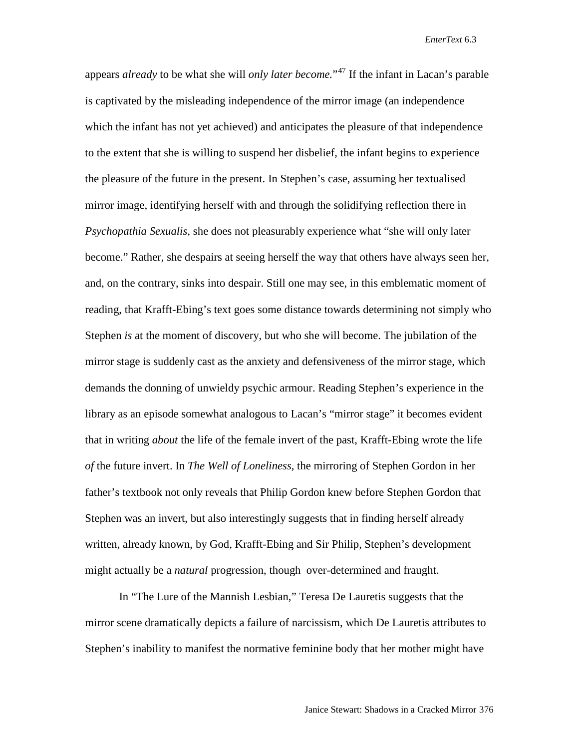appears *already* to be what she will *only later become.*"[47](#page-17-43) If the infant in Lacan's parable is captivated by the misleading independence of the mirror image (an independence which the infant has not yet achieved) and anticipates the pleasure of that independence to the extent that she is willing to suspend her disbelief, the infant begins to experience the pleasure of the future in the present. In Stephen's case, assuming her textualised mirror image, identifying herself with and through the solidifying reflection there in *Psychopathia Sexualis,* she does not pleasurably experience what "she will only later become." Rather, she despairs at seeing herself the way that others have always seen her, and, on the contrary, sinks into despair. Still one may see, in this emblematic moment of reading, that Krafft-Ebing's text goes some distance towards determining not simply who Stephen *is* at the moment of discovery, but who she will become. The jubilation of the mirror stage is suddenly cast as the anxiety and defensiveness of the mirror stage, which demands the donning of unwieldy psychic armour. Reading Stephen's experience in the library as an episode somewhat analogous to Lacan's "mirror stage" it becomes evident that in writing *about* the life of the female invert of the past, Krafft-Ebing wrote the life *of* the future invert. In *The Well of Loneliness*, the mirroring of Stephen Gordon in her father's textbook not only reveals that Philip Gordon knew before Stephen Gordon that Stephen was an invert, but also interestingly suggests that in finding herself already written, already known, by God, Krafft-Ebing and Sir Philip, Stephen's development might actually be a *natural* progression, though over-determined and fraught.

In "The Lure of the Mannish Lesbian," Teresa De Lauretis suggests that the mirror scene dramatically depicts a failure of narcissism, which De Lauretis attributes to Stephen's inability to manifest the normative feminine body that her mother might have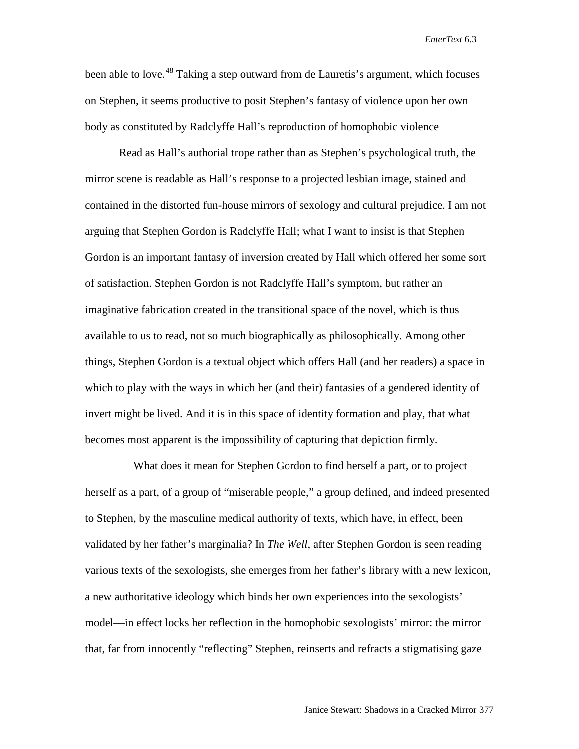been able to love.<sup>[48](#page-17-44)</sup> Taking a step outward from de Lauretis's argument, which focuses on Stephen, it seems productive to posit Stephen's fantasy of violence upon her own body as constituted by Radclyffe Hall's reproduction of homophobic violence

Read as Hall's authorial trope rather than as Stephen's psychological truth, the mirror scene is readable as Hall's response to a projected lesbian image, stained and contained in the distorted fun-house mirrors of sexology and cultural prejudice. I am not arguing that Stephen Gordon is Radclyffe Hall; what I want to insist is that Stephen Gordon is an important fantasy of inversion created by Hall which offered her some sort of satisfaction. Stephen Gordon is not Radclyffe Hall's symptom, but rather an imaginative fabrication created in the transitional space of the novel, which is thus available to us to read, not so much biographically as philosophically. Among other things, Stephen Gordon is a textual object which offers Hall (and her readers) a space in which to play with the ways in which her (and their) fantasies of a gendered identity of invert might be lived. And it is in this space of identity formation and play, that what becomes most apparent is the impossibility of capturing that depiction firmly.

 What does it mean for Stephen Gordon to find herself a part, or to project herself as a part, of a group of "miserable people," a group defined, and indeed presented to Stephen, by the masculine medical authority of texts, which have, in effect, been validated by her father's marginalia? In *The Well*, after Stephen Gordon is seen reading various texts of the sexologists, she emerges from her father's library with a new lexicon, a new authoritative ideology which binds her own experiences into the sexologists' model—in effect locks her reflection in the homophobic sexologists' mirror: the mirror that, far from innocently "reflecting" Stephen, reinserts and refracts a stigmatising gaze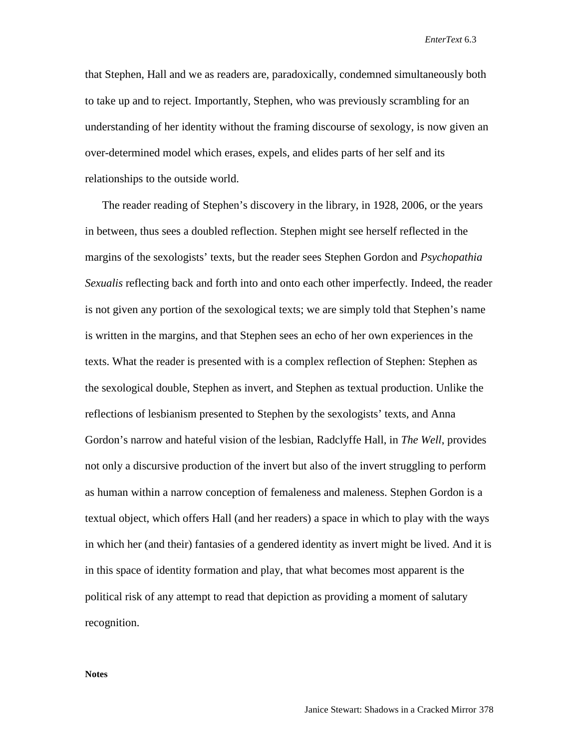that Stephen, Hall and we as readers are, paradoxically, condemned simultaneously both to take up and to reject. Importantly, Stephen, who was previously scrambling for an understanding of her identity without the framing discourse of sexology, is now given an over-determined model which erases, expels, and elides parts of her self and its relationships to the outside world.

 The reader reading of Stephen's discovery in the library, in 1928, 2006, or the years in between, thus sees a doubled reflection. Stephen might see herself reflected in the margins of the sexologists' texts, but the reader sees Stephen Gordon and *Psychopathia Sexualis* reflecting back and forth into and onto each other imperfectly. Indeed, the reader is not given any portion of the sexological texts; we are simply told that Stephen's name is written in the margins, and that Stephen sees an echo of her own experiences in the texts. What the reader is presented with is a complex reflection of Stephen: Stephen as the sexological double, Stephen as invert, and Stephen as textual production. Unlike the reflections of lesbianism presented to Stephen by the sexologists' texts, and Anna Gordon's narrow and hateful vision of the lesbian, Radclyffe Hall, in *The Well*, provides not only a discursive production of the invert but also of the invert struggling to perform as human within a narrow conception of femaleness and maleness. Stephen Gordon is a textual object, which offers Hall (and her readers) a space in which to play with the ways in which her (and their) fantasies of a gendered identity as invert might be lived. And it is in this space of identity formation and play, that what becomes most apparent is the political risk of any attempt to read that depiction as providing a moment of salutary recognition.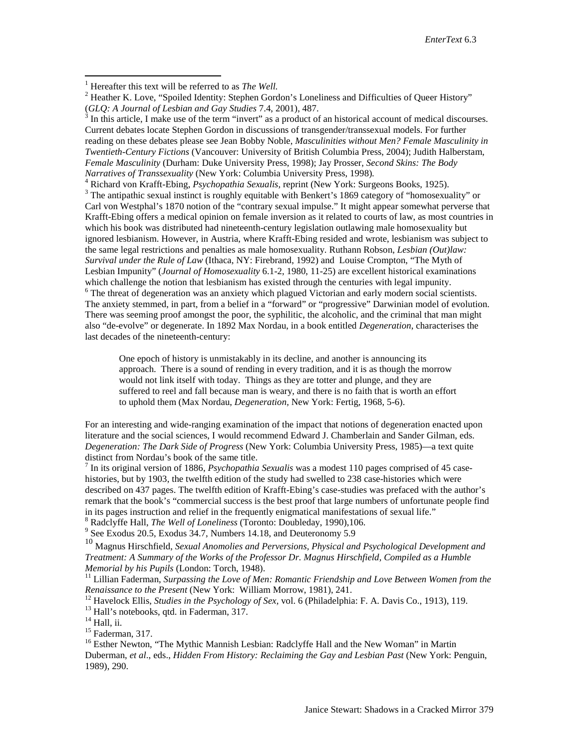In this article, I make use of the term "invert" as a product of an historical account of medical discourses. Current debates locate Stephen Gordon in discussions of transgender/transsexual models. For further reading on these debates please see Jean Bobby Noble, *Masculinities without Men? Female Masculinity in Twentieth-Century Fictions* (Vancouver: University of British Columbia Press, 2004); Judith Halberstam, *Female Masculinity* (Durham: Duke University Press, 1998); Jay Prosser, *Second Skins: The Body* 

Narratives of Transsexuality (New York: Columbia University Press, 1998).<br><sup>4</sup> Richard von Krafft-Ebing, *Psychopathia Sexualis*, reprint (New York: Surgeons Books, 1925).<br><sup>3</sup> The antipathic sexual instinct is roughly equit Carl von Westphal's 1870 notion of the "contrary sexual impulse." It might appear somewhat perverse that Krafft-Ebing offers a medical opinion on female inversion as it related to courts of law, as most countries in which his book was distributed had nineteenth-century legislation outlawing male homosexuality but ignored lesbianism. However, in Austria, where Krafft-Ebing resided and wrote, lesbianism was subject to the same legal restrictions and penalties as male homosexuality. Ruthann Robson, *Lesbian (Out)law: Survival under the Rule of Law* (Ithaca, NY: Firebrand, 1992) and Louise Crompton, "The Myth of Lesbian Impunity" (*Journal of Homosexuality* 6.1-2, 1980, 11-25) are excellent historical examinations which challenge the notion that lesbianism has existed through the centuries with legal impunity.  $6$  The threat of degeneration was an anxiety which plagued Victorian and early modern social scientists. The anxiety stemmed, in part, from a belief in a "forward" or "progressive" Darwinian model of evolution. There was seeming proof amongst the poor, the syphilitic, the alcoholic, and the criminal that man might also "de-evolve" or degenerate. In 1892 Max Nordau, in a book entitled *Degeneration*, characterises the last decades of the nineteenth-century:

One epoch of history is unmistakably in its decline, and another is announcing its approach. There is a sound of rending in every tradition, and it is as though the morrow would not link itself with today. Things as they are totter and plunge, and they are suffered to reel and fall because man is weary, and there is no faith that is worth an effort to uphold them (Max Nordau, *Degeneration,* New York: Fertig, 1968, 5-6).

For an interesting and wide-ranging examination of the impact that notions of degeneration enacted upon literature and the social sciences, I would recommend Edward J. Chamberlain and Sander Gilman, eds. *Degeneration: The Dark Side of Progress* (New York: Columbia University Press, 1985)—a text quite

 $^7$  In its original version of 1886, *Psychopathia Sexualis* was a modest 110 pages comprised of 45 casehistories, but by 1903, the twelfth edition of the study had swelled to 238 case-histories which were described on 437 pages. The twelfth edition of Krafft-Ebing's case-studies was prefaced with the author's remark that the book's "commercial success is the best proof that large numbers of unfortunate people find in its pages instruction and relief in the frequently enigmatical manifestations of sexual life."<br>
<sup>8</sup> Radclyffe Hall, *The Well of Loneliness* (Toronto: Doubleday, 1990),106.<br>
<sup>9</sup> See Exodus 20.5, Exodus 34.7, Numbers 14.

<sup>10</sup> Magnus Hirschfield, *Sexual Anomolies and Perversions, Physical and Psychological Development and Treatment: A Summary of the Works of the Professor Dr. Magnus Hirschfield, Compiled as a Humble* 

*Memorial by his Pupils* (London: Torch, 1948).<br><sup>11</sup> Lillian Faderman, *Surpassing the Love of Men: Romantic Friendship and Love Between Women from the Renaissance to the Present (New York: William Morrow, 1981), 241.* 

<sup>12</sup> Havelock Ellis, *Studies in the Psychology of Sex*, vol. 6 (Philadelphia: F. A. Davis Co., 1913), 119.<br><sup>13</sup> Hall's notebooks, qtd. in Faderman, 317.<br><sup>14</sup> Hall, ii.<br><sup>15</sup> Faderman, 317.<br><sup>16</sup> Esther Newton, "The Mythic

Duberman, *et al*., eds., *Hidden From History: Reclaiming the Gay and Lesbian Past* (New York: Penguin, 1989), 290.

Janice Stewart: Shadows in a Cracked Mirror 379

<span id="page-16-1"></span><span id="page-16-0"></span><sup>&</sup>lt;sup>1</sup> Hereafter this text will be referred to as *The Well.*  $^{2}$  Heather K. Love, "Spoiled Identity: Stephen Gordon's Loneliness and Difficulties of Queer History" (*GLQ: A Journal of Lesbian and Gay Studies* 7.4, 2001),